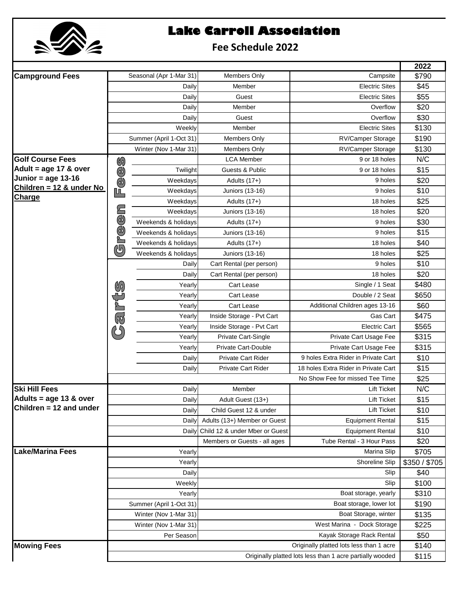

## **Lake Carroll Association**

## **Fee Schedule 2022**

|                                                   |                                                           |                         |                                |                                          | 2022                 |
|---------------------------------------------------|-----------------------------------------------------------|-------------------------|--------------------------------|------------------------------------------|----------------------|
| <b>Campground Fees</b>                            |                                                           | Seasonal (Apr 1-Mar 31) | Members Only                   | Campsite                                 | \$790                |
|                                                   |                                                           | Daily                   | Member                         | <b>Electric Sites</b>                    | \$45                 |
|                                                   |                                                           | Daily                   | Guest                          | <b>Electric Sites</b>                    | \$55                 |
|                                                   |                                                           | Daily                   | Member                         | Overflow                                 | \$20                 |
|                                                   |                                                           | Daily                   | Guest                          | Overflow                                 | \$30                 |
|                                                   | Weekly<br>Summer (April 1-Oct 31)                         |                         | Member                         | <b>Electric Sites</b>                    | \$130                |
|                                                   |                                                           |                         | <b>Members Only</b>            | <b>RV/Camper Storage</b>                 | \$190                |
|                                                   |                                                           | Winter (Nov 1-Mar 31)   | Members Only                   | RV/Camper Storage                        | \$130                |
| <b>Golf Course Fees</b>                           | $\mathscr{G}$                                             |                         | <b>LCA Member</b>              | 9 or 18 holes                            | N/C                  |
| Adult = $age 17 & over$                           | $\bigcirc$                                                | Twilight                | Guests & Public                | 9 or 18 holes                            | \$15                 |
| Junior = age $13-16$<br>Children = 12 & under No  | $\overline{\mathbb{C}}$                                   | Weekdays                | Adults (17+)                   | 9 holes                                  | \$20                 |
| <b>Charge</b>                                     | լո                                                        | Weekdays                | <b>Juniors (13-16)</b>         | 9 holes                                  | \$10                 |
|                                                   |                                                           | Weekdays                | Adults (17+)                   | 18 holes                                 | \$25                 |
|                                                   |                                                           | Weekdays                | <b>Juniors (13-16)</b>         | 18 holes                                 | \$20                 |
|                                                   | $\widetilde{\mathbb{Q}}$                                  | Weekends & holidays     | Adults (17+)                   | 9 holes                                  | \$30                 |
|                                                   | Fe                                                        | Weekends & holidays     | <b>Juniors (13-16)</b>         | 9 holes                                  | \$15                 |
|                                                   | ரி                                                        | Weekends & holidays     | Adults (17+)                   | 18 holes                                 | \$40                 |
|                                                   |                                                           | Weekends & holidays     | <b>Juniors (13-16)</b>         | 18 holes                                 | \$25                 |
|                                                   |                                                           | Daily                   | Cart Rental (per person)       | 9 holes                                  | \$10                 |
|                                                   |                                                           | Daily                   | Cart Rental (per person)       | 18 holes                                 | \$20                 |
|                                                   |                                                           | Yearly                  | Cart Lease                     | Single / 1 Seat                          | \$480                |
|                                                   |                                                           | Yearly                  | Cart Lease                     | Double / 2 Seat                          | \$650                |
|                                                   |                                                           | Yearly                  | Cart Lease                     | Additional Children ages 13-16           | \$60                 |
|                                                   | arts                                                      | Yearly                  | Inside Storage - Pvt Cart      | Gas Cart                                 | \$475                |
|                                                   |                                                           | Yearly                  | Inside Storage - Pvt Cart      | <b>Electric Cart</b>                     | \$565                |
|                                                   |                                                           | Yearly                  | Private Cart-Single            | Private Cart Usage Fee                   | \$315                |
|                                                   |                                                           | Yearly                  | <b>Private Cart-Double</b>     | Private Cart Usage Fee                   | \$315                |
|                                                   |                                                           | Daily                   | Private Cart Rider             | 9 holes Extra Rider in Private Cart      | \$10                 |
|                                                   |                                                           | Daily                   | <b>Private Cart Rider</b>      | 18 holes Extra Rider in Private Cart     | \$15                 |
|                                                   |                                                           |                         |                                | No Show Fee for missed Tee Time          | \$25                 |
| <b>Ski Hill Fees</b>                              |                                                           | Daily                   | Member                         | <b>Lift Ticket</b>                       | N/C                  |
| Adults = age 13 & over<br>Children = 12 and under |                                                           | Daily                   | Adult Guest (13+)              | Lift Ticket                              | \$15                 |
|                                                   |                                                           | Daily                   | Child Guest 12 & under         | <b>Lift Ticket</b>                       | \$10                 |
|                                                   |                                                           | Daily                   | Adults (13+) Member or Guest   | <b>Equipment Rental</b>                  | \$15                 |
|                                                   |                                                           | Daily                   | Child 12 & under Mber or Guest | <b>Equipment Rental</b>                  | \$10                 |
|                                                   |                                                           |                         | Members or Guests - all ages   | Tube Rental - 3 Hour Pass<br>Marina Slip | \$20                 |
| <b>Lake/Marina Fees</b>                           | Yearly                                                    |                         | Shoreline Slip                 |                                          | \$705<br>\$350/\$705 |
|                                                   | Yearly<br>Daily<br>Weekly<br>Yearly                       |                         |                                | Slip                                     | \$40                 |
|                                                   |                                                           |                         |                                | Slip                                     | \$100                |
|                                                   |                                                           |                         |                                | Boat storage, yearly                     | \$310                |
|                                                   | Summer (April 1-Oct 31)                                   |                         | Boat storage, lower lot        |                                          | \$190                |
|                                                   | Winter (Nov 1-Mar 31)                                     |                         |                                | Boat Storage, winter                     | \$135                |
|                                                   | Winter (Nov 1-Mar 31)                                     |                         | West Marina - Dock Storage     | \$225                                    |                      |
|                                                   | Per Season                                                |                         |                                | Kayak Storage Rack Rental                | \$50                 |
| <b>Mowing Fees</b>                                | Originally platted lots less than 1 acre                  |                         |                                | \$140                                    |                      |
|                                                   | Originally platted lots less than 1 acre partially wooded |                         |                                |                                          | \$115                |
|                                                   |                                                           |                         |                                |                                          |                      |